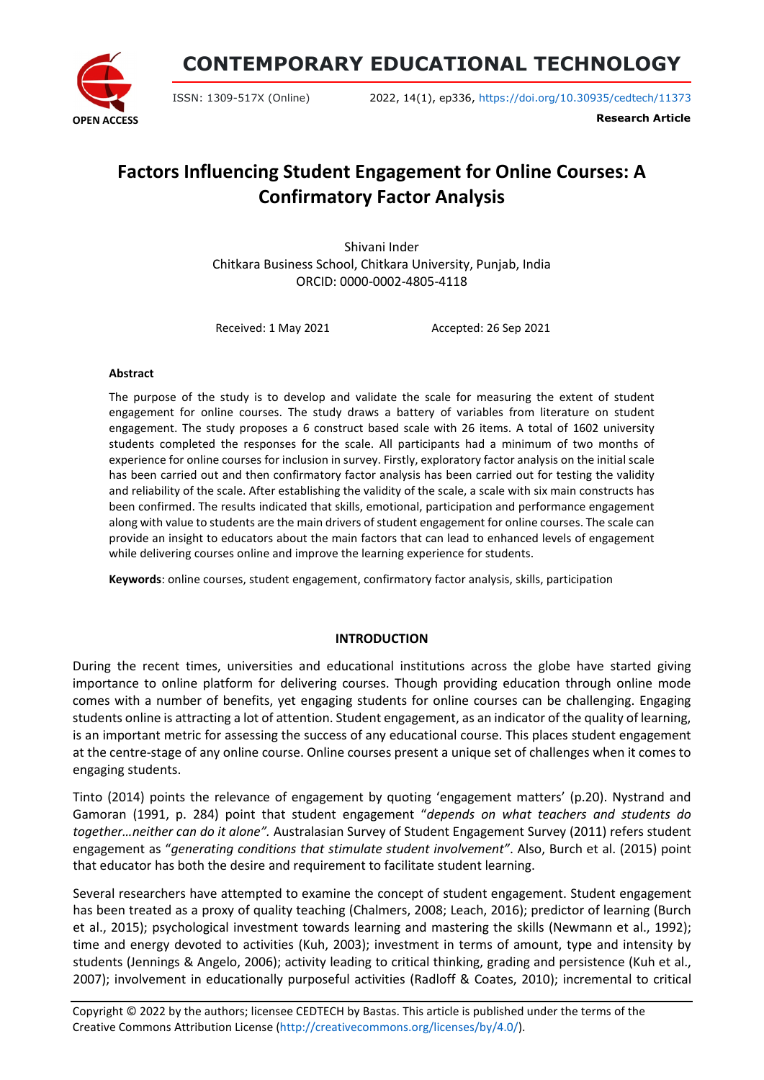

**CONTEMPORARY EDUCATIONAL TECHNOLOGY**

ISSN: 1309-517X (Online) 2022, 14(1), ep336, <https://doi.org/10.30935/cedtech/11373>

**Research Article**

# **Factors Influencing Student Engagement for Online Courses: A Confirmatory Factor Analysis**

Shivani Inder Chitkara Business School, Chitkara University, Punjab, India ORCID: 0000-0002-4805-4118

Received: 1 May 2021 Accepted: 26 Sep 2021

#### **Abstract**

The purpose of the study is to develop and validate the scale for measuring the extent of student engagement for online courses. The study draws a battery of variables from literature on student engagement. The study proposes a 6 construct based scale with 26 items. A total of 1602 university students completed the responses for the scale. All participants had a minimum of two months of experience for online courses for inclusion in survey. Firstly, exploratory factor analysis on the initial scale has been carried out and then confirmatory factor analysis has been carried out for testing the validity and reliability of the scale. After establishing the validity of the scale, a scale with six main constructs has been confirmed. The results indicated that skills, emotional, participation and performance engagement along with value to students are the main drivers of student engagement for online courses. The scale can provide an insight to educators about the main factors that can lead to enhanced levels of engagement while delivering courses online and improve the learning experience for students.

**Keywords**: online courses, student engagement, confirmatory factor analysis, skills, participation

#### **INTRODUCTION**

During the recent times, universities and educational institutions across the globe have started giving importance to online platform for delivering courses. Though providing education through online mode comes with a number of benefits, yet engaging students for online courses can be challenging. Engaging students online is attracting a lot of attention. Student engagement, as an indicator of the quality of learning, is an important metric for assessing the success of any educational course. This places student engagement at the centre-stage of any online course. Online courses present a unique set of challenges when it comes to engaging students.

Tinto (2014) points the relevance of engagement by quoting 'engagement matters' (p.20). Nystrand and Gamoran (1991, p. 284) point that student engagement "*depends on what teachers and students do together…neither can do it alone".* Australasian Survey of Student Engagement Survey (2011) refers student engagement as "*generating conditions that stimulate student involvement"*. Also, Burch et al. (2015) point that educator has both the desire and requirement to facilitate student learning.

Several researchers have attempted to examine the concept of student engagement. Student engagement has been treated as a proxy of quality teaching (Chalmers, 2008; Leach, 2016); predictor of learning (Burch et al., 2015); psychological investment towards learning and mastering the skills (Newmann et al., 1992); time and energy devoted to activities (Kuh, 2003); investment in terms of amount, type and intensity by students (Jennings & Angelo, 2006); activity leading to critical thinking, grading and persistence (Kuh et al., 2007); involvement in educationally purposeful activities (Radloff & Coates, 2010); incremental to critical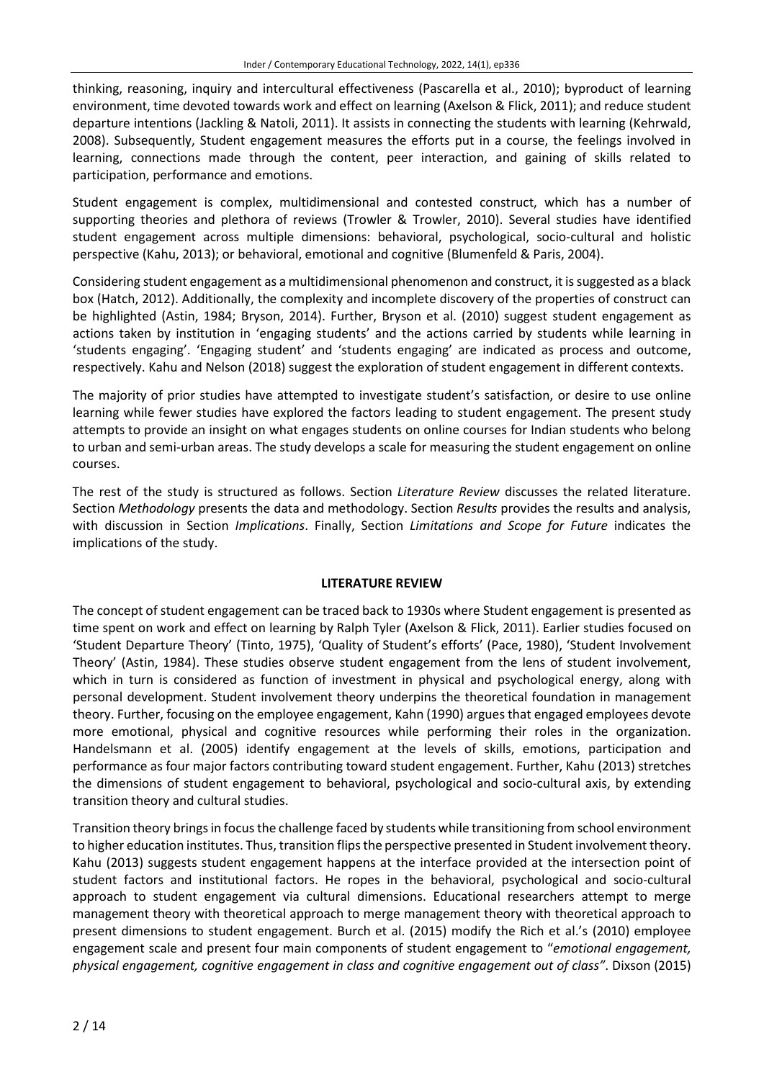thinking, reasoning, inquiry and intercultural effectiveness (Pascarella et al., 2010); byproduct of learning environment, time devoted towards work and effect on learning (Axelson & Flick, 2011); and reduce student departure intentions (Jackling & Natoli, 2011). It assists in connecting the students with learning (Kehrwald, 2008). Subsequently, Student engagement measures the efforts put in a course, the feelings involved in learning, connections made through the content, peer interaction, and gaining of skills related to participation, performance and emotions.

Student engagement is complex, multidimensional and contested construct, which has a number of supporting theories and plethora of reviews (Trowler & Trowler, 2010). Several studies have identified student engagement across multiple dimensions: behavioral, psychological, socio-cultural and holistic perspective (Kahu, 2013); or behavioral, emotional and cognitive (Blumenfeld & Paris, 2004).

Considering student engagement as a multidimensional phenomenon and construct, it issuggested as a black box (Hatch, 2012). Additionally, the complexity and incomplete discovery of the properties of construct can be highlighted (Astin, 1984; Bryson, 2014). Further, Bryson et al. (2010) suggest student engagement as actions taken by institution in 'engaging students' and the actions carried by students while learning in 'students engaging'. 'Engaging student' and 'students engaging' are indicated as process and outcome, respectively. Kahu and Nelson (2018) suggest the exploration of student engagement in different contexts.

The majority of prior studies have attempted to investigate student's satisfaction, or desire to use online learning while fewer studies have explored the factors leading to student engagement. The present study attempts to provide an insight on what engages students on online courses for Indian students who belong to urban and semi-urban areas. The study develops a scale for measuring the student engagement on online courses.

The rest of the study is structured as follows. Section *Literature Review* discusses the related literature. Section *Methodology* presents the data and methodology. Section *Results* provides the results and analysis, with discussion in Section *Implications*. Finally, Section *Limitations and Scope for Future* indicates the implications of the study.

#### **LITERATURE REVIEW**

The concept of student engagement can be traced back to 1930s where Student engagement is presented as time spent on work and effect on learning by Ralph Tyler (Axelson & Flick, 2011). Earlier studies focused on 'Student Departure Theory' (Tinto, 1975), 'Quality of Student's efforts' (Pace, 1980), 'Student Involvement Theory' (Astin, 1984). These studies observe student engagement from the lens of student involvement, which in turn is considered as function of investment in physical and psychological energy, along with personal development. Student involvement theory underpins the theoretical foundation in management theory. Further, focusing on the employee engagement, Kahn (1990) argues that engaged employees devote more emotional, physical and cognitive resources while performing their roles in the organization. Handelsmann et al. (2005) identify engagement at the levels of skills, emotions, participation and performance as four major factors contributing toward student engagement. Further, Kahu (2013) stretches the dimensions of student engagement to behavioral, psychological and socio-cultural axis, by extending transition theory and cultural studies.

Transition theory brings in focus the challenge faced by students while transitioning from school environment to higher education institutes. Thus, transition flipsthe perspective presented in Student involvement theory. Kahu (2013) suggests student engagement happens at the interface provided at the intersection point of student factors and institutional factors. He ropes in the behavioral, psychological and socio-cultural approach to student engagement via cultural dimensions. Educational researchers attempt to merge management theory with theoretical approach to merge management theory with theoretical approach to present dimensions to student engagement. Burch et al. (2015) modify the Rich et al.'s (2010) employee engagement scale and present four main components of student engagement to "*emotional engagement, physical engagement, cognitive engagement in class and cognitive engagement out of class"*. Dixson (2015)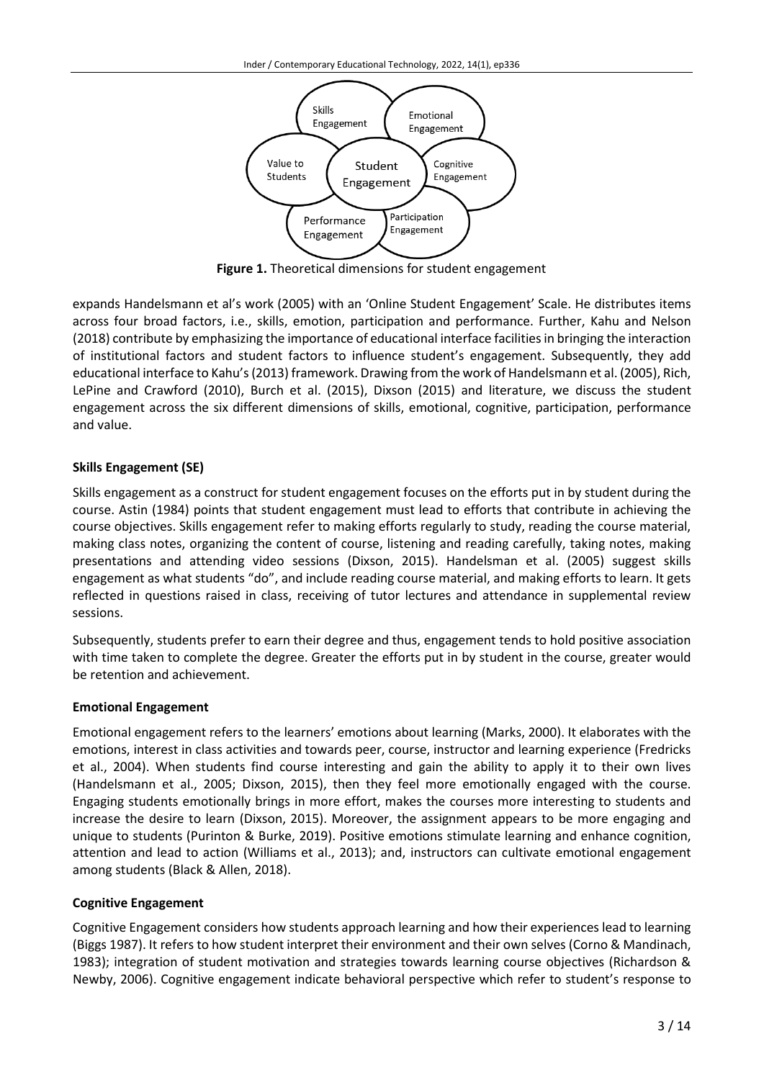

**Figure 1.** Theoretical dimensions for student engagement

expands Handelsmann et al's work (2005) with an 'Online Student Engagement' Scale. He distributes items across four broad factors, i.e., skills, emotion, participation and performance. Further, Kahu and Nelson (2018) contribute by emphasizing the importance of educational interface facilitiesin bringing the interaction of institutional factors and student factors to influence student's engagement. Subsequently, they add educational interface to Kahu's(2013) framework. Drawing from the work of Handelsmann et al. (2005), Rich, LePine and Crawford (2010), Burch et al. (2015), Dixson (2015) and literature, we discuss the student engagement across the six different dimensions of skills, emotional, cognitive, participation, performance and value.

# **Skills Engagement (SE)**

Skills engagement as a construct for student engagement focuses on the efforts put in by student during the course. Astin (1984) points that student engagement must lead to efforts that contribute in achieving the course objectives. Skills engagement refer to making efforts regularly to study, reading the course material, making class notes, organizing the content of course, listening and reading carefully, taking notes, making presentations and attending video sessions (Dixson, 2015). Handelsman et al. (2005) suggest skills engagement as what students "do", and include reading course material, and making efforts to learn. It gets reflected in questions raised in class, receiving of tutor lectures and attendance in supplemental review sessions.

Subsequently, students prefer to earn their degree and thus, engagement tends to hold positive association with time taken to complete the degree. Greater the efforts put in by student in the course, greater would be retention and achievement.

# **Emotional Engagement**

Emotional engagement refers to the learners' emotions about learning (Marks, 2000). It elaborates with the emotions, interest in class activities and towards peer, course, instructor and learning experience (Fredricks et al., 2004). When students find course interesting and gain the ability to apply it to their own lives (Handelsmann et al., 2005; Dixson, 2015), then they feel more emotionally engaged with the course. Engaging students emotionally brings in more effort, makes the courses more interesting to students and increase the desire to learn (Dixson, 2015). Moreover, the assignment appears to be more engaging and unique to students (Purinton & Burke, 2019). Positive emotions stimulate learning and enhance cognition, attention and lead to action (Williams et al., 2013); and, instructors can cultivate emotional engagement among students (Black & Allen, 2018).

# **Cognitive Engagement**

Cognitive Engagement considers how students approach learning and how their experiences lead to learning (Biggs 1987). It refers to how student interpret their environment and their own selves (Corno & Mandinach, 1983); integration of student motivation and strategies towards learning course objectives (Richardson & Newby, 2006). Cognitive engagement indicate behavioral perspective which refer to student's response to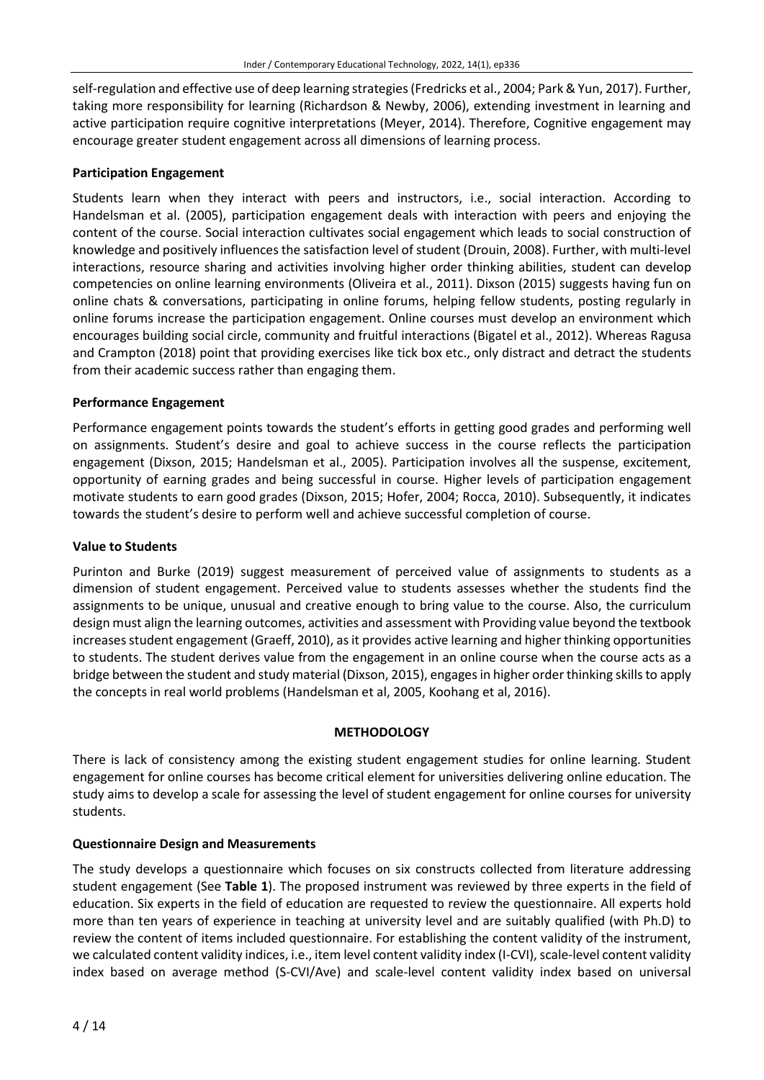self-regulation and effective use of deep learning strategies (Fredricks et al., 2004; Park & Yun, 2017). Further, taking more responsibility for learning (Richardson & Newby, 2006), extending investment in learning and active participation require cognitive interpretations (Meyer, 2014). Therefore, Cognitive engagement may encourage greater student engagement across all dimensions of learning process.

### **Participation Engagement**

Students learn when they interact with peers and instructors, i.e., social interaction. According to Handelsman et al. (2005), participation engagement deals with interaction with peers and enjoying the content of the course. Social interaction cultivates social engagement which leads to social construction of knowledge and positively influences the satisfaction level of student (Drouin, 2008). Further, with multi-level interactions, resource sharing and activities involving higher order thinking abilities, student can develop competencies on online learning environments (Oliveira et al., 2011). Dixson (2015) suggests having fun on online chats & conversations, participating in online forums, helping fellow students, posting regularly in online forums increase the participation engagement. Online courses must develop an environment which encourages building social circle, community and fruitful interactions (Bigatel et al., 2012). Whereas Ragusa and Crampton (2018) point that providing exercises like tick box etc., only distract and detract the students from their academic success rather than engaging them.

### **Performance Engagement**

Performance engagement points towards the student's efforts in getting good grades and performing well on assignments. Student's desire and goal to achieve success in the course reflects the participation engagement (Dixson, 2015; Handelsman et al., 2005). Participation involves all the suspense, excitement, opportunity of earning grades and being successful in course. Higher levels of participation engagement motivate students to earn good grades (Dixson, 2015; Hofer, 2004; Rocca, 2010). Subsequently, it indicates towards the student's desire to perform well and achieve successful completion of course.

#### **Value to Students**

Purinton and Burke (2019) suggest measurement of perceived value of assignments to students as a dimension of student engagement. Perceived value to students assesses whether the students find the assignments to be unique, unusual and creative enough to bring value to the course. Also, the curriculum design must align the learning outcomes, activities and assessment with Providing value beyond the textbook increases student engagement (Graeff, 2010), as it provides active learning and higher thinking opportunities to students. The student derives value from the engagement in an online course when the course acts as a bridge between the student and study material (Dixson, 2015), engages in higher order thinking skills to apply the concepts in real world problems (Handelsman et al, 2005, Koohang et al, 2016).

#### **METHODOLOGY**

There is lack of consistency among the existing student engagement studies for online learning. Student engagement for online courses has become critical element for universities delivering online education. The study aims to develop a scale for assessing the level of student engagement for online courses for university students.

#### **Questionnaire Design and Measurements**

The study develops a questionnaire which focuses on six constructs collected from literature addressing student engagement (See **Table 1**). The proposed instrument was reviewed by three experts in the field of education. Six experts in the field of education are requested to review the questionnaire. All experts hold more than ten years of experience in teaching at university level and are suitably qualified (with Ph.D) to review the content of items included questionnaire. For establishing the content validity of the instrument, we calculated content validity indices, i.e., item level content validity index (I-CVI), scale-level content validity index based on average method (S-CVI/Ave) and scale-level content validity index based on universal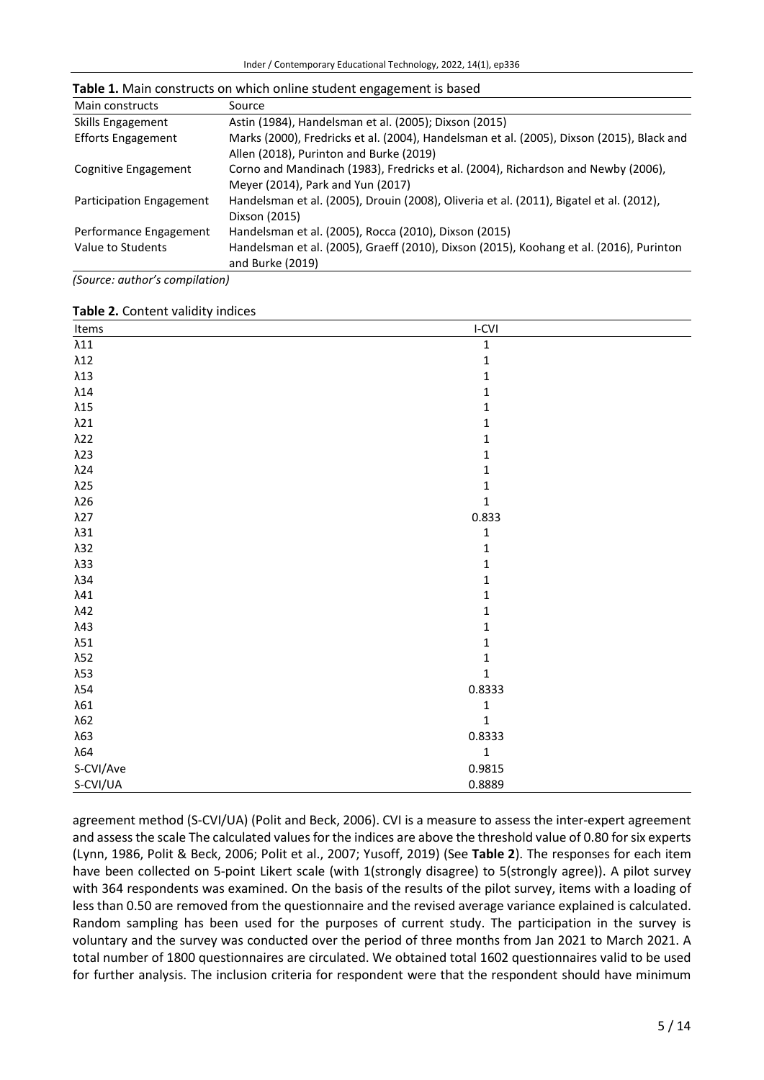| Main constructs           | Source                                                                                    |
|---------------------------|-------------------------------------------------------------------------------------------|
| Skills Engagement         | Astin (1984), Handelsman et al. (2005); Dixson (2015)                                     |
| <b>Efforts Engagement</b> | Marks (2000), Fredricks et al. (2004), Handelsman et al. (2005), Dixson (2015), Black and |
|                           | Allen (2018), Purinton and Burke (2019)                                                   |
| Cognitive Engagement      | Corno and Mandinach (1983), Fredricks et al. (2004), Richardson and Newby (2006),         |
|                           | Meyer (2014), Park and Yun (2017)                                                         |
| Participation Engagement  | Handelsman et al. (2005), Drouin (2008), Oliveria et al. (2011), Bigatel et al. (2012),   |
|                           | Dixson (2015)                                                                             |
| Performance Engagement    | Handelsman et al. (2005), Rocca (2010), Dixson (2015)                                     |
| Value to Students         | Handelsman et al. (2005), Graeff (2010), Dixson (2015), Koohang et al. (2016), Purinton   |
|                           | and Burke (2019)                                                                          |

**Table 1.** Main constructs on which online student engagement is based

*(Source: author's compilation)*

#### **Table 2.** Content validity indices

| Items        | $I-CVI$      |
|--------------|--------------|
| $\lambda11$  | $\mathbf 1$  |
| $\lambda12$  | $\mathbf 1$  |
| $\lambda13$  | $\mathbf 1$  |
| $\lambda14$  | $\mathbf{1}$ |
| $\lambda15$  | $\mathbf 1$  |
| $\lambda$ 21 | $\mathbf 1$  |
| $\lambda$ 22 | $\mathbf{1}$ |
| $\lambda$ 23 | $\mathbf 1$  |
| $\lambda$ 24 | $\mathbf{1}$ |
| $\lambda$ 25 | $\mathbf 1$  |
| $\lambda26$  | $\mathbf 1$  |
| $\lambda$ 27 | 0.833        |
| $\lambda31$  | $\mathbf 1$  |
| $\lambda$ 32 | $\mathbf{1}$ |
| $\lambda$ 33 | $\mathbf 1$  |
| $\lambda$ 34 | $\mathbf{1}$ |
| $\lambda$ 41 | $\mathbf{1}$ |
| $\lambda$ 42 | $\mathbf 1$  |
| $\lambda$ 43 | $\mathbf{1}$ |
| $\lambda51$  | $\mathbf 1$  |
| $\lambda$ 52 | $\mathbf 1$  |
| $\lambda$ 53 | $\mathbf 1$  |
| $\lambda54$  | 0.8333       |
| $\lambda61$  | $\mathbf 1$  |
| $\lambda$ 62 | $\mathbf{1}$ |
| $\lambda$ 63 | 0.8333       |
| λ64          | $\mathbf 1$  |
| S-CVI/Ave    | 0.9815       |
| S-CVI/UA     | 0.8889       |

agreement method (S-CVI/UA) (Polit and Beck, 2006). CVI is a measure to assess the inter-expert agreement and assessthe scale The calculated values for the indices are above the threshold value of 0.80 forsix experts (Lynn, 1986, Polit & Beck, 2006; Polit et al., 2007; Yusoff, 2019) (See **Table 2**). The responses for each item have been collected on 5-point Likert scale (with 1(strongly disagree) to 5(strongly agree)). A pilot survey with 364 respondents was examined. On the basis of the results of the pilot survey, items with a loading of less than 0.50 are removed from the questionnaire and the revised average variance explained is calculated. Random sampling has been used for the purposes of current study. The participation in the survey is voluntary and the survey was conducted over the period of three months from Jan 2021 to March 2021. A total number of 1800 questionnaires are circulated. We obtained total 1602 questionnaires valid to be used for further analysis. The inclusion criteria for respondent were that the respondent should have minimum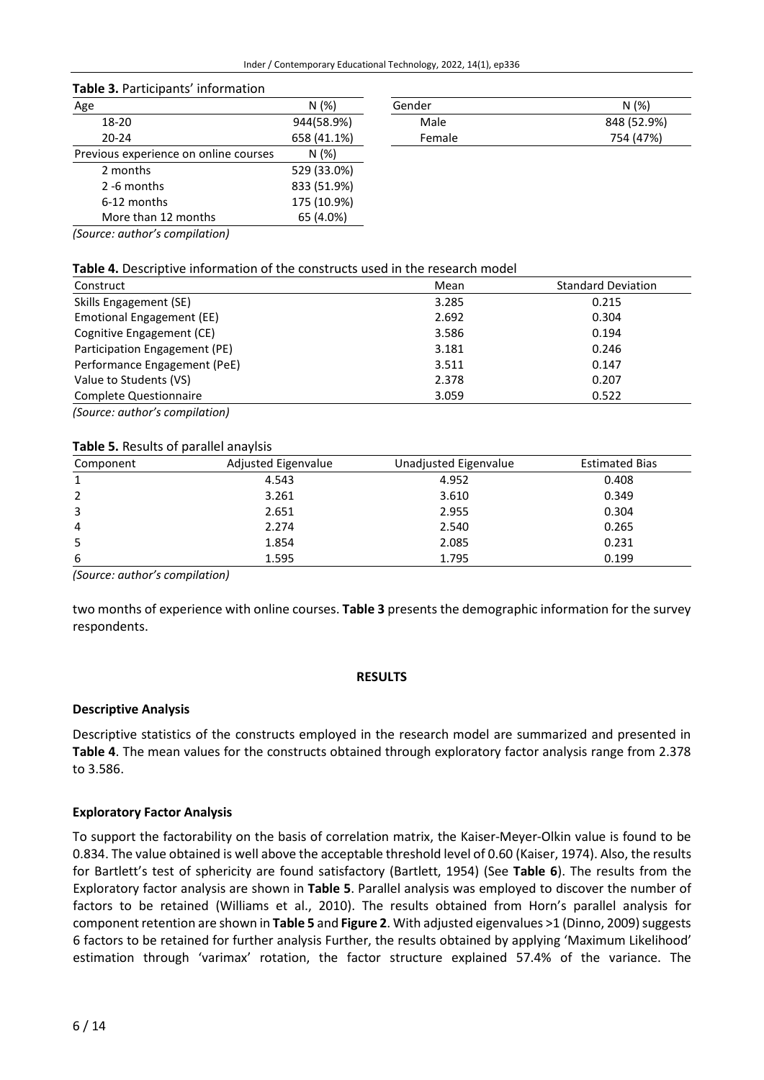| Table 3. Participants' information |  |
|------------------------------------|--|
| Λσρ                                |  |

| Age                                   | N(%)        |
|---------------------------------------|-------------|
| 18-20                                 | 944(58.9%)  |
| $20 - 24$                             | 658 (41.1%) |
| Previous experience on online courses | N(%)        |
| 2 months                              | 529 (33.0%) |
| 2 -6 months                           | 833 (51.9%) |
| 6-12 months                           | 175 (10.9%) |
| More than 12 months                   | 65 (4.0%)   |

| Age   | N(%)        | Gender | N(%)        |
|-------|-------------|--------|-------------|
| 18-20 | 944(58.9%)  | Male   | 848 (52.9%) |
| 20-24 | 658 (41.1%) | Female | 754 (47%)   |
|       |             |        |             |

*(Source: author's compilation)*

#### **Table 4.** Descriptive information of the constructs used in the research model

| Construct                                     | Mean  | <b>Standard Deviation</b> |
|-----------------------------------------------|-------|---------------------------|
| Skills Engagement (SE)                        | 3.285 | 0.215                     |
| Emotional Engagement (EE)                     | 2.692 | 0.304                     |
| Cognitive Engagement (CE)                     | 3.586 | 0.194                     |
| Participation Engagement (PE)                 | 3.181 | 0.246                     |
| Performance Engagement (PeE)                  | 3.511 | 0.147                     |
| Value to Students (VS)                        | 2.378 | 0.207                     |
| Complete Questionnaire                        | 3.059 | 0.522                     |
| $\overline{a}$ $\overline{a}$<br>$\mathbf{1}$ |       |                           |

*(Source: author's compilation)*

#### **Table 5.** Results of parallel anaylsis

| Component | Adjusted Eigenvalue | Unadjusted Eigenvalue | <b>Estimated Bias</b> |
|-----------|---------------------|-----------------------|-----------------------|
|           | 4.543               | 4.952                 | 0.408                 |
| 2         | 3.261               | 3.610                 | 0.349                 |
| 3         | 2.651               | 2.955                 | 0.304                 |
| 4         | 2.274               | 2.540                 | 0.265                 |
| 5         | 1.854               | 2.085                 | 0.231                 |
| 6         | 1.595               | 1.795                 | 0.199                 |

*(Source: author's compilation)*

two months of experience with online courses. **Table 3** presents the demographic information for the survey respondents.

#### **RESULTS**

#### **Descriptive Analysis**

Descriptive statistics of the constructs employed in the research model are summarized and presented in **Table 4**. The mean values for the constructs obtained through exploratory factor analysis range from 2.378 to 3.586.

#### **Exploratory Factor Analysis**

To support the factorability on the basis of correlation matrix, the Kaiser-Meyer-Olkin value is found to be 0.834. The value obtained is well above the acceptable threshold level of 0.60 (Kaiser, 1974). Also, the results for Bartlett's test of sphericity are found satisfactory (Bartlett, 1954) (See **Table 6**). The results from the Exploratory factor analysis are shown in **Table 5**. Parallel analysis was employed to discover the number of factors to be retained (Williams et al., 2010). The results obtained from Horn's parallel analysis for component retention are shown in **Table 5** and **Figure 2**. With adjusted eigenvalues >1 (Dinno, 2009) suggests 6 factors to be retained for further analysis Further, the results obtained by applying 'Maximum Likelihood' estimation through 'varimax' rotation, the factor structure explained 57.4% of the variance. The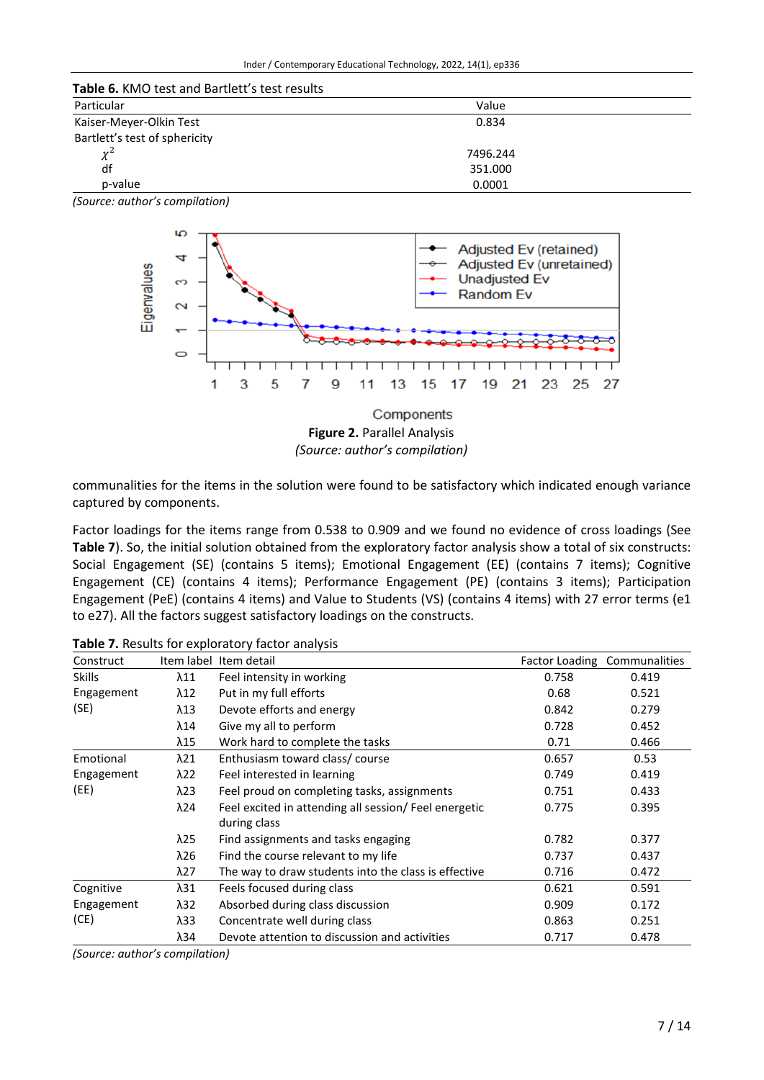| <b>Table 6. KMO test and Bartlett's test results</b> |          |  |  |  |
|------------------------------------------------------|----------|--|--|--|
| Particular                                           | Value    |  |  |  |
| Kaiser-Meyer-Olkin Test                              | 0.834    |  |  |  |
| Bartlett's test of sphericity                        |          |  |  |  |
| $v^2$                                                | 7496.244 |  |  |  |
| df                                                   | 351.000  |  |  |  |
| p-value                                              | 0.0001   |  |  |  |

*<sup>(</sup>Source: author's compilation)*



communalities for the items in the solution were found to be satisfactory which indicated enough variance captured by components.

Factor loadings for the items range from 0.538 to 0.909 and we found no evidence of cross loadings (See **Table 7**). So, the initial solution obtained from the exploratory factor analysis show a total of six constructs: Social Engagement (SE) (contains 5 items); Emotional Engagement (EE) (contains 7 items); Cognitive Engagement (CE) (contains 4 items); Performance Engagement (PE) (contains 3 items); Participation Engagement (PeE) (contains 4 items) and Value to Students (VS) (contains 4 items) with 27 error terms (e1 to e27). All the factors suggest satisfactory loadings on the constructs.

| Construct                                                          | Item label   | Item detail                                                           |       | Factor Loading Communalities |
|--------------------------------------------------------------------|--------------|-----------------------------------------------------------------------|-------|------------------------------|
| <b>Skills</b>                                                      | $\lambda$ 11 | Feel intensity in working                                             | 0.758 | 0.419                        |
| Engagement                                                         | $\lambda$ 12 | Put in my full efforts                                                | 0.68  | 0.521                        |
| (SE)                                                               | $\lambda$ 13 | Devote efforts and energy                                             | 0.842 | 0.279                        |
|                                                                    | $\lambda$ 14 | Give my all to perform                                                | 0.728 | 0.452                        |
|                                                                    | λ15          | Work hard to complete the tasks                                       | 0.71  | 0.466                        |
| Emotional                                                          | $\lambda$ 21 | Enthusiasm toward class/course                                        | 0.657 | 0.53                         |
| Engagement                                                         | $\lambda$ 22 | Feel interested in learning                                           | 0.749 | 0.419                        |
| (EE)                                                               | $\lambda$ 23 | Feel proud on completing tasks, assignments                           | 0.751 | 0.433                        |
|                                                                    | $\lambda$ 24 | Feel excited in attending all session/ Feel energetic<br>during class | 0.775 | 0.395                        |
|                                                                    | $\lambda$ 25 | Find assignments and tasks engaging                                   | 0.782 | 0.377                        |
|                                                                    | $\lambda$ 26 | Find the course relevant to my life                                   | 0.737 | 0.437                        |
|                                                                    | $\lambda$ 27 | The way to draw students into the class is effective                  | 0.716 | 0.472                        |
| Cognitive                                                          | λ31          | Feels focused during class                                            | 0.621 | 0.591                        |
| Engagement                                                         | $\lambda$ 32 | Absorbed during class discussion                                      | 0.909 | 0.172                        |
| (CE)                                                               | λ33          | Concentrate well during class                                         | 0.863 | 0.251                        |
|                                                                    | λ34          | Devote attention to discussion and activities                         | 0.717 | 0.478                        |
| $\ell$ consistent in the subsequent of $\ell$ is the set of $\ell$ |              |                                                                       |       |                              |

**Table 7.** Results for exploratory factor analysis

*(Source: author's compilation)*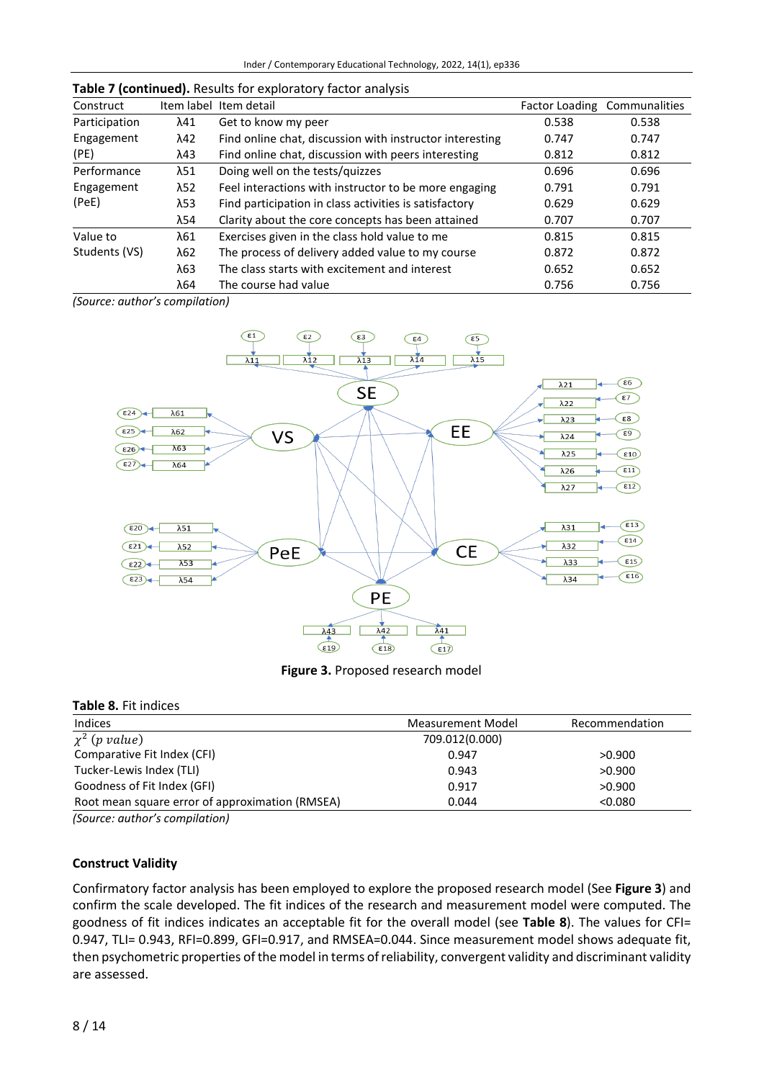| Construct     |              | Item label Item detail                                   |       | Factor Loading Communalities |
|---------------|--------------|----------------------------------------------------------|-------|------------------------------|
| Participation | λ41          | Get to know my peer                                      | 0.538 | 0.538                        |
| Engagement    | λ42          | Find online chat, discussion with instructor interesting | 0.747 | 0.747                        |
| (PE)          | λ43          | Find online chat, discussion with peers interesting      | 0.812 | 0.812                        |
| Performance   | $\lambda$ 51 | Doing well on the tests/quizzes                          | 0.696 | 0.696                        |
| Engagement    | $\lambda$ 52 | Feel interactions with instructor to be more engaging    | 0.791 | 0.791                        |
| (PeE)         | λ53          | Find participation in class activities is satisfactory   | 0.629 | 0.629                        |
|               | λ54          | Clarity about the core concepts has been attained        | 0.707 | 0.707                        |
| Value to      | λ61          | Exercises given in the class hold value to me            | 0.815 | 0.815                        |
| Students (VS) | $\lambda$ 62 | The process of delivery added value to my course         | 0.872 | 0.872                        |
|               | λ63          | The class starts with excitement and interest            | 0.652 | 0.652                        |
|               | λ64          | The course had value                                     | 0.756 | 0.756                        |

#### **Table 7 (continued).** Results for exploratory factor analysis

*(Source: author's compilation)*



**Figure 3.** Proposed research model

#### **Table 8.** Fit indices

| Indices                                                                                                                                                                                                                                                                                                                                                                                                                | Measurement Model | Recommendation |
|------------------------------------------------------------------------------------------------------------------------------------------------------------------------------------------------------------------------------------------------------------------------------------------------------------------------------------------------------------------------------------------------------------------------|-------------------|----------------|
| $\chi^2$ (p value)                                                                                                                                                                                                                                                                                                                                                                                                     | 709.012(0.000)    |                |
| Comparative Fit Index (CFI)                                                                                                                                                                                                                                                                                                                                                                                            | 0.947             | >0.900         |
| Tucker-Lewis Index (TLI)                                                                                                                                                                                                                                                                                                                                                                                               | 0.943             | >0.900         |
| Goodness of Fit Index (GFI)                                                                                                                                                                                                                                                                                                                                                                                            | 0.917             | >0.900         |
| Root mean square error of approximation (RMSEA)                                                                                                                                                                                                                                                                                                                                                                        | 0.044             | < 0.080        |
| $\{C_1, \ldots, C_n, \ldots, C_n, \ldots, C_n, \ldots, C_n, \ldots, C_n, \ldots, C_n, \ldots, C_n, \ldots, C_n, \ldots, C_n, \ldots, C_n, \ldots, C_n, \ldots, C_n, \ldots, C_n, \ldots, C_n, \ldots, C_n, \ldots, C_n, \ldots, C_n, \ldots, C_n, \ldots, C_n, \ldots, C_n, \ldots, C_n, \ldots, C_n, \ldots, C_n, \ldots, C_n, \ldots, C_n, \ldots, C_n, \ldots, C_n, \ldots, C_n, \ldots, C_n, \ldots, C_n, \ldots,$ |                   |                |

*(Source: author's compilation)*

#### **Construct Validity**

Confirmatory factor analysis has been employed to explore the proposed research model (See **Figure 3**) and confirm the scale developed. The fit indices of the research and measurement model were computed. The goodness of fit indices indicates an acceptable fit for the overall model (see **Table 8**). The values for CFI= 0.947, TLI= 0.943, RFI=0.899, GFI=0.917, and RMSEA=0.044. Since measurement model shows adequate fit, then psychometric properties of the model in terms of reliability, convergent validity and discriminant validity are assessed.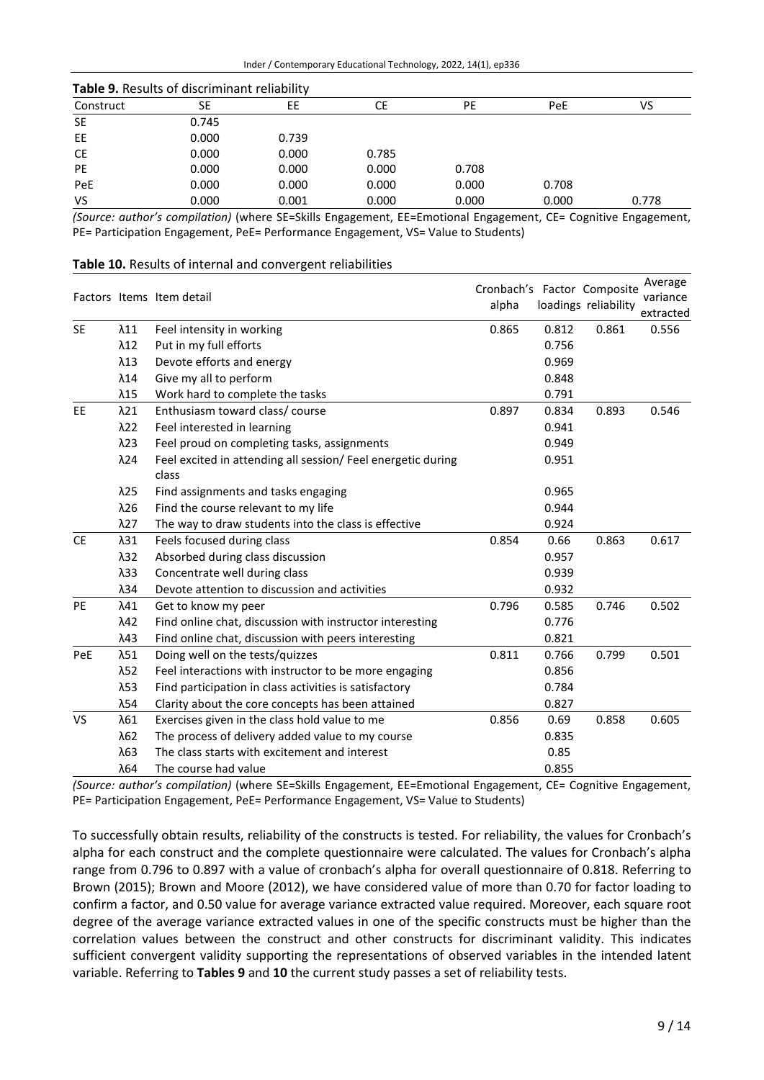| Table 9. Results of discriminant reliability |       |       |       |       |       |       |
|----------------------------------------------|-------|-------|-------|-------|-------|-------|
| Construct                                    | SE    | EЕ    | СE    | PE    | PeE   | VS    |
| <b>SE</b>                                    | 0.745 |       |       |       |       |       |
| EE                                           | 0.000 | 0.739 |       |       |       |       |
| <b>CE</b>                                    | 0.000 | 0.000 | 0.785 |       |       |       |
| <b>PE</b>                                    | 0.000 | 0.000 | 0.000 | 0.708 |       |       |
| PeE                                          | 0.000 | 0.000 | 0.000 | 0.000 | 0.708 |       |
| VS                                           | 0.000 | 0.001 | 0.000 | 0.000 | 0.000 | 0.778 |

*(Source: author's compilation)* (where SE=Skills Engagement, EE=Emotional Engagement, CE= Cognitive Engagement, PE= Participation Engagement, PeE= Performance Engagement, VS= Value to Students)

|           |              |                                                              | Cronbach's Factor Composite |       |                      | Average   |
|-----------|--------------|--------------------------------------------------------------|-----------------------------|-------|----------------------|-----------|
|           |              | Factors Items Item detail                                    | alpha                       |       | loadings reliability | variance  |
|           |              |                                                              |                             |       |                      | extracted |
| <b>SE</b> | $\lambda$ 11 | Feel intensity in working                                    | 0.865                       | 0.812 | 0.861                | 0.556     |
|           | $\lambda$ 12 | Put in my full efforts                                       |                             | 0.756 |                      |           |
|           | $\lambda$ 13 | Devote efforts and energy                                    |                             | 0.969 |                      |           |
|           | $\lambda$ 14 | Give my all to perform                                       |                             | 0.848 |                      |           |
|           | $\lambda$ 15 | Work hard to complete the tasks                              |                             | 0.791 |                      |           |
| EE        | $\lambda$ 21 | Enthusiasm toward class/course                               | 0.897                       | 0.834 | 0.893                | 0.546     |
|           | $\lambda$ 22 | Feel interested in learning                                  |                             | 0.941 |                      |           |
|           | $\lambda$ 23 | Feel proud on completing tasks, assignments                  |                             | 0.949 |                      |           |
|           | $\lambda$ 24 | Feel excited in attending all session/ Feel energetic during |                             | 0.951 |                      |           |
|           |              | class                                                        |                             |       |                      |           |
|           | $\lambda$ 25 | Find assignments and tasks engaging                          |                             | 0.965 |                      |           |
|           | $\lambda$ 26 | Find the course relevant to my life                          |                             | 0.944 |                      |           |
|           | $\lambda$ 27 | The way to draw students into the class is effective         |                             | 0.924 |                      |           |
| <b>CE</b> | $\lambda 31$ | Feels focused during class                                   | 0.854                       | 0.66  | 0.863                | 0.617     |
|           | $\lambda$ 32 | Absorbed during class discussion                             |                             | 0.957 |                      |           |
|           | $\lambda$ 33 | Concentrate well during class                                |                             | 0.939 |                      |           |
|           | $\lambda$ 34 | Devote attention to discussion and activities                |                             | 0.932 |                      |           |
| PE        | λ41          | Get to know my peer                                          | 0.796                       | 0.585 | 0.746                | 0.502     |
|           | $\lambda$ 42 | Find online chat, discussion with instructor interesting     |                             | 0.776 |                      |           |
|           | $\lambda$ 43 | Find online chat, discussion with peers interesting          |                             | 0.821 |                      |           |
| PeE       | $\lambda$ 51 | Doing well on the tests/quizzes                              | 0.811                       | 0.766 | 0.799                | 0.501     |
|           | λ52          | Feel interactions with instructor to be more engaging        |                             | 0.856 |                      |           |
|           | $\lambda$ 53 | Find participation in class activities is satisfactory       |                             | 0.784 |                      |           |
|           | $\lambda$ 54 | Clarity about the core concepts has been attained            |                             | 0.827 |                      |           |
| <b>VS</b> | λ61          | Exercises given in the class hold value to me                | 0.856                       | 0.69  | 0.858                | 0.605     |
|           | $\lambda$ 62 | The process of delivery added value to my course             |                             | 0.835 |                      |           |
|           | $\lambda$ 63 | The class starts with excitement and interest                |                             | 0.85  |                      |           |
|           | $\lambda$ 64 | The course had value                                         |                             | 0.855 |                      |           |

*(Source: author's compilation)* (where SE=Skills Engagement, EE=Emotional Engagement, CE= Cognitive Engagement, PE= Participation Engagement, PeE= Performance Engagement, VS= Value to Students)

To successfully obtain results, reliability of the constructs is tested. For reliability, the values for Cronbach's alpha for each construct and the complete questionnaire were calculated. The values for Cronbach's alpha range from 0.796 to 0.897 with a value of cronbach's alpha for overall questionnaire of 0.818. Referring to Brown (2015); Brown and Moore (2012), we have considered value of more than 0.70 for factor loading to confirm a factor, and 0.50 value for average variance extracted value required. Moreover, each square root degree of the average variance extracted values in one of the specific constructs must be higher than the correlation values between the construct and other constructs for discriminant validity. This indicates sufficient convergent validity supporting the representations of observed variables in the intended latent variable. Referring to **Tables 9** and **10** the current study passes a set of reliability tests.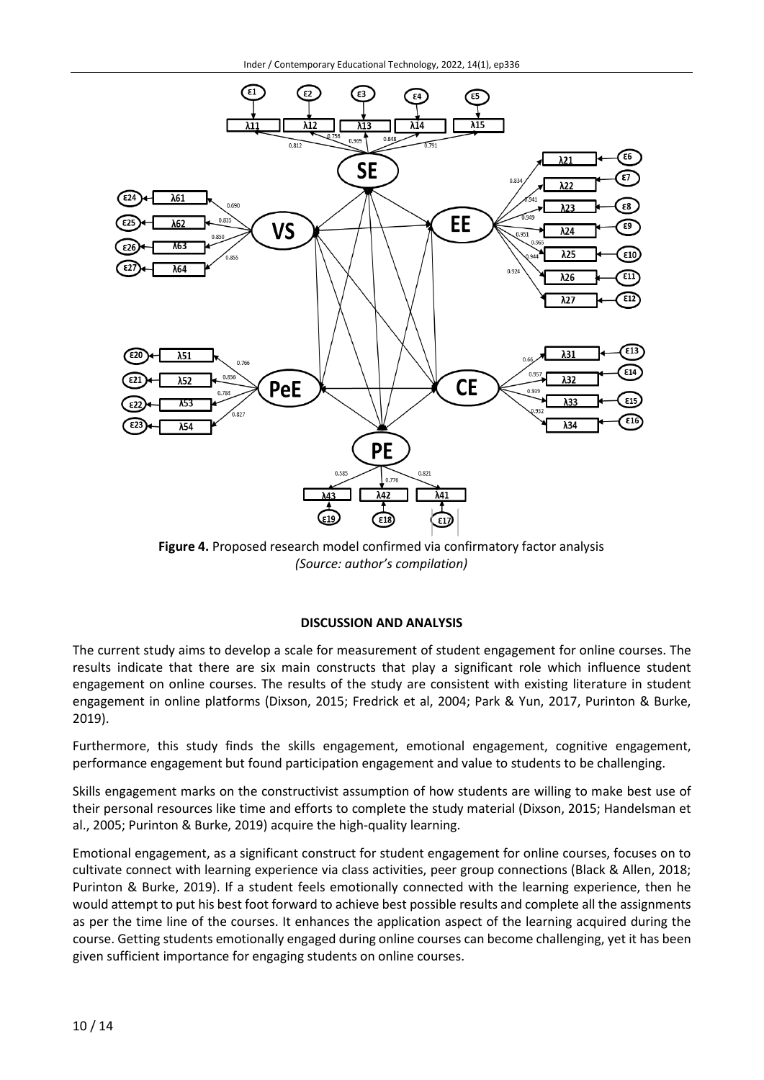

**Figure 4.** Proposed research model confirmed via confirmatory factor analysis *(Source: author's compilation)*

#### **DISCUSSION AND ANALYSIS**

The current study aims to develop a scale for measurement of student engagement for online courses. The results indicate that there are six main constructs that play a significant role which influence student engagement on online courses. The results of the study are consistent with existing literature in student engagement in online platforms (Dixson, 2015; Fredrick et al, 2004; Park & Yun, 2017, Purinton & Burke, 2019).

Furthermore, this study finds the skills engagement, emotional engagement, cognitive engagement, performance engagement but found participation engagement and value to students to be challenging.

Skills engagement marks on the constructivist assumption of how students are willing to make best use of their personal resources like time and efforts to complete the study material (Dixson, 2015; Handelsman et al., 2005; Purinton & Burke, 2019) acquire the high-quality learning.

Emotional engagement, as a significant construct for student engagement for online courses, focuses on to cultivate connect with learning experience via class activities, peer group connections (Black & Allen, 2018; Purinton & Burke, 2019). If a student feels emotionally connected with the learning experience, then he would attempt to put his best foot forward to achieve best possible results and complete all the assignments as per the time line of the courses. It enhances the application aspect of the learning acquired during the course. Getting students emotionally engaged during online courses can become challenging, yet it has been given sufficient importance for engaging students on online courses.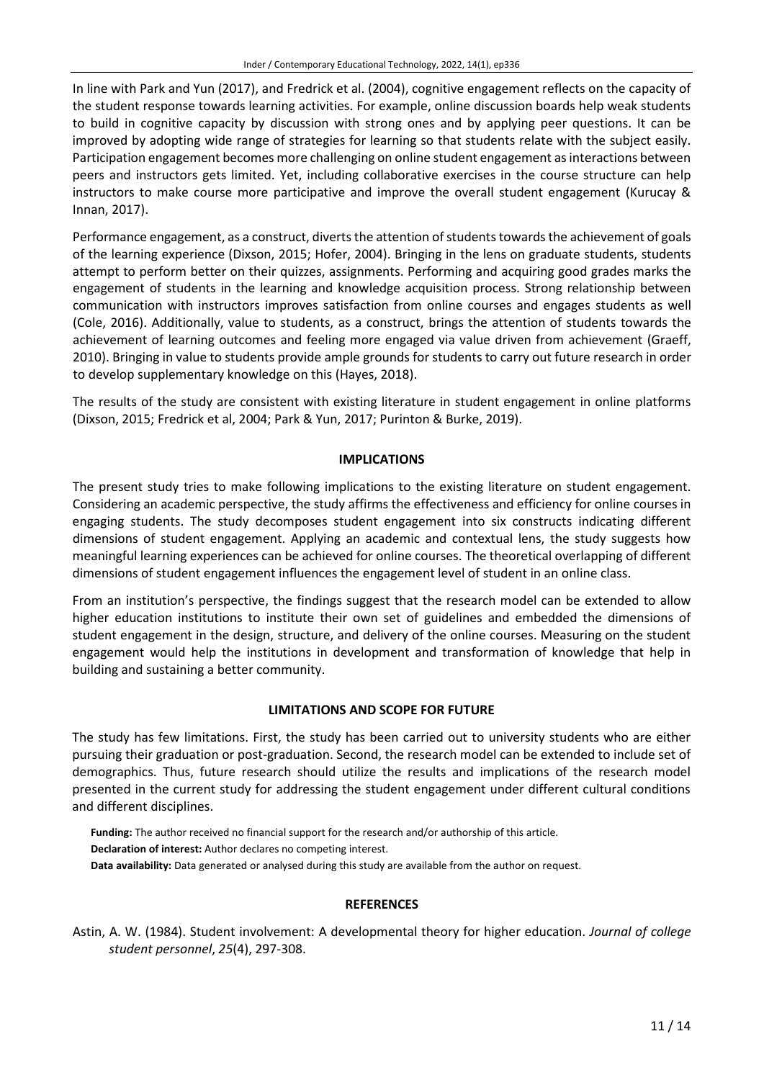In line with Park and Yun (2017), and Fredrick et al. (2004), cognitive engagement reflects on the capacity of the student response towards learning activities. For example, online discussion boards help weak students to build in cognitive capacity by discussion with strong ones and by applying peer questions. It can be improved by adopting wide range of strategies for learning so that students relate with the subject easily. Participation engagement becomes more challenging on online student engagement as interactions between peers and instructors gets limited. Yet, including collaborative exercises in the course structure can help instructors to make course more participative and improve the overall student engagement (Kurucay & Innan, 2017).

Performance engagement, as a construct, diverts the attention of students towards the achievement of goals of the learning experience (Dixson, 2015; Hofer, 2004). Bringing in the lens on graduate students, students attempt to perform better on their quizzes, assignments. Performing and acquiring good grades marks the engagement of students in the learning and knowledge acquisition process. Strong relationship between communication with instructors improves satisfaction from online courses and engages students as well (Cole, 2016). Additionally, value to students, as a construct, brings the attention of students towards the achievement of learning outcomes and feeling more engaged via value driven from achievement (Graeff, 2010). Bringing in value to students provide ample grounds for students to carry out future research in order to develop supplementary knowledge on this (Hayes, 2018).

The results of the study are consistent with existing literature in student engagement in online platforms (Dixson, 2015; Fredrick et al, 2004; Park & Yun, 2017; Purinton & Burke, 2019).

### **IMPLICATIONS**

The present study tries to make following implications to the existing literature on student engagement. Considering an academic perspective, the study affirms the effectiveness and efficiency for online courses in engaging students. The study decomposes student engagement into six constructs indicating different dimensions of student engagement. Applying an academic and contextual lens, the study suggests how meaningful learning experiences can be achieved for online courses. The theoretical overlapping of different dimensions of student engagement influences the engagement level of student in an online class.

From an institution's perspective, the findings suggest that the research model can be extended to allow higher education institutions to institute their own set of guidelines and embedded the dimensions of student engagement in the design, structure, and delivery of the online courses. Measuring on the student engagement would help the institutions in development and transformation of knowledge that help in building and sustaining a better community.

#### **LIMITATIONS AND SCOPE FOR FUTURE**

The study has few limitations. First, the study has been carried out to university students who are either pursuing their graduation or post-graduation. Second, the research model can be extended to include set of demographics. Thus, future research should utilize the results and implications of the research model presented in the current study for addressing the student engagement under different cultural conditions and different disciplines.

**Funding:** The author received no financial support for the research and/or authorship of this article. **Declaration of interest:** Author declares no competing interest. **Data availability:** Data generated or analysed during this study are available from the author on request.

#### **REFERENCES**

Astin, A. W. (1984). Student involvement: A developmental theory for higher education. *Journal of college student personnel*, *25*(4), 297-308.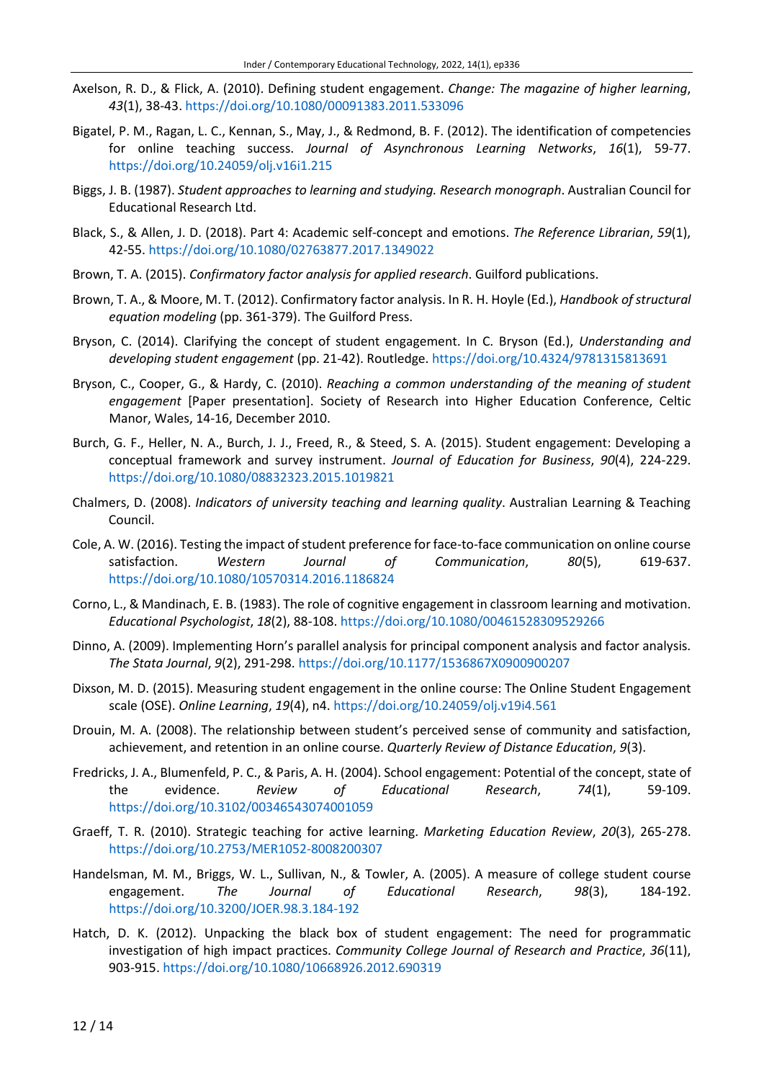- Axelson, R. D., & Flick, A. (2010). Defining student engagement. *Change: The magazine of higher learning*, *43*(1), 38-43. <https://doi.org/10.1080/00091383.2011.533096>
- Bigatel, P. M., Ragan, L. C., Kennan, S., May, J., & Redmond, B. F. (2012). The identification of competencies for online teaching success. *Journal of Asynchronous Learning Networks*, *16*(1), 59-77. <https://doi.org/10.24059/olj.v16i1.215>
- Biggs, J. B. (1987). *Student approaches to learning and studying. Research monograph*. Australian Council for Educational Research Ltd.
- Black, S., & Allen, J. D. (2018). Part 4: Academic self-concept and emotions. *The Reference Librarian*, *59*(1), 42-55. <https://doi.org/10.1080/02763877.2017.1349022>
- Brown, T. A. (2015). *Confirmatory factor analysis for applied research*. Guilford publications.
- Brown, T. A., & Moore, M. T. (2012). Confirmatory factor analysis. In R. H. Hoyle (Ed.), *Handbook of structural equation modeling* (pp. 361-379). The Guilford Press.
- Bryson, C. (2014). Clarifying the concept of student engagement. In C. Bryson (Ed.), *Understanding and developing student engagement* (pp. 21-42). Routledge. <https://doi.org/10.4324/9781315813691>
- Bryson, C., Cooper, G., & Hardy, C. (2010). *Reaching a common understanding of the meaning of student engagement* [Paper presentation]. Society of Research into Higher Education Conference, Celtic Manor, Wales, 14-16, December 2010.
- Burch, G. F., Heller, N. A., Burch, J. J., Freed, R., & Steed, S. A. (2015). Student engagement: Developing a conceptual framework and survey instrument. *Journal of Education for Business*, *90*(4), 224-229. <https://doi.org/10.1080/08832323.2015.1019821>
- Chalmers, D. (2008). *Indicators of university teaching and learning quality*. Australian Learning & Teaching Council.
- Cole, A. W. (2016). Testing the impact of student preference for face-to-face communication on online course satisfaction. *Western Journal of Communication*, *80*(5), 619-637. <https://doi.org/10.1080/10570314.2016.1186824>
- Corno, L., & Mandinach, E. B. (1983). The role of cognitive engagement in classroom learning and motivation. *Educational Psychologist*, *18*(2), 88-108. <https://doi.org/10.1080/00461528309529266>
- Dinno, A. (2009). Implementing Horn's parallel analysis for principal component analysis and factor analysis. *The Stata Journal*, *9*(2), 291-298. <https://doi.org/10.1177/1536867X0900900207>
- Dixson, M. D. (2015). Measuring student engagement in the online course: The Online Student Engagement scale (OSE). *Online Learning*, *19*(4), n4. <https://doi.org/10.24059/olj.v19i4.561>
- Drouin, M. A. (2008). The relationship between student's perceived sense of community and satisfaction, achievement, and retention in an online course. *Quarterly Review of Distance Education*, *9*(3).
- Fredricks, J. A., Blumenfeld, P. C., & Paris, A. H. (2004). School engagement: Potential of the concept, state of the evidence. *Review of Educational Research*, *74*(1), 59-109. <https://doi.org/10.3102/00346543074001059>
- Graeff, T. R. (2010). Strategic teaching for active learning. *Marketing Education Review*, *20*(3), 265-278. <https://doi.org/10.2753/MER1052-8008200307>
- Handelsman, M. M., Briggs, W. L., Sullivan, N., & Towler, A. (2005). A measure of college student course engagement. *The Journal of Educational Research*, *98*(3), 184-192. <https://doi.org/10.3200/JOER.98.3.184-192>
- Hatch, D. K. (2012). Unpacking the black box of student engagement: The need for programmatic investigation of high impact practices. *Community College Journal of Research and Practice*, *36*(11), 903-915. <https://doi.org/10.1080/10668926.2012.690319>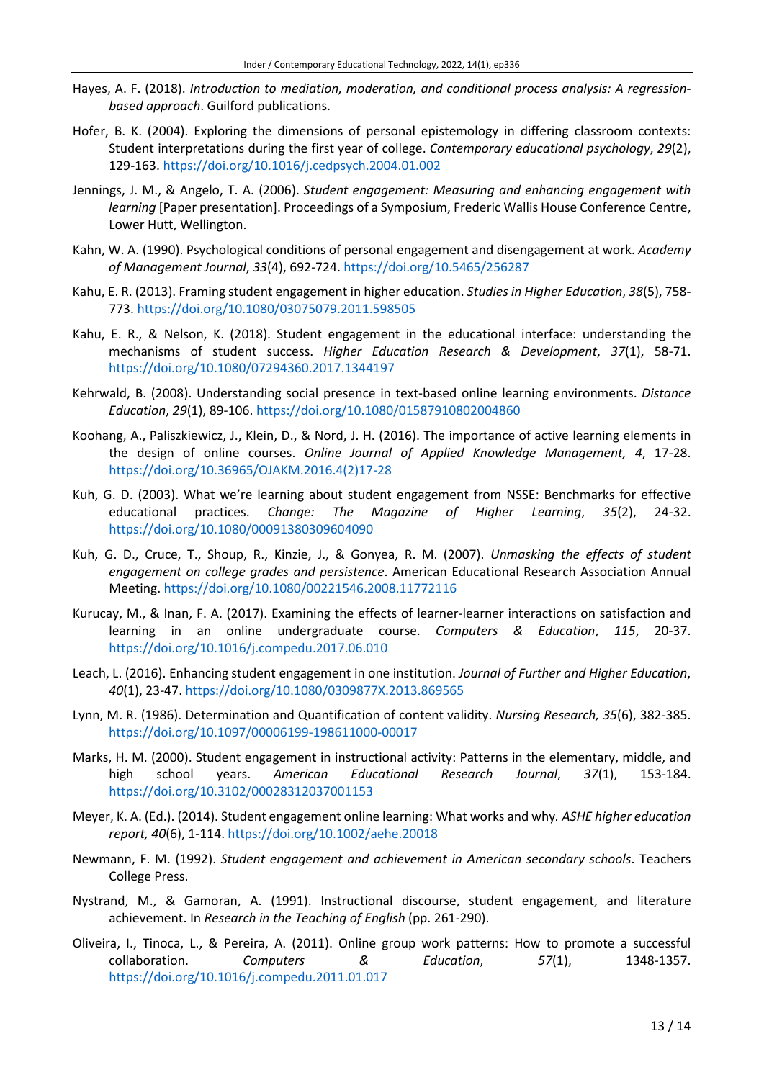- Hayes, A. F. (2018). *Introduction to mediation, moderation, and conditional process analysis: A regressionbased approach*. Guilford publications.
- Hofer, B. K. (2004). Exploring the dimensions of personal epistemology in differing classroom contexts: Student interpretations during the first year of college. *Contemporary educational psychology*, *29*(2), 129-163. <https://doi.org/10.1016/j.cedpsych.2004.01.002>
- Jennings, J. M., & Angelo, T. A. (2006). *Student engagement: Measuring and enhancing engagement with learning* [Paper presentation]. Proceedings of a Symposium, Frederic Wallis House Conference Centre, Lower Hutt, Wellington.
- Kahn, W. A. (1990). Psychological conditions of personal engagement and disengagement at work. *Academy of Management Journal*, *33*(4), 692-724. <https://doi.org/10.5465/256287>
- Kahu, E. R. (2013). Framing student engagement in higher education. *Studies in Higher Education*, *38*(5), 758- 773. <https://doi.org/10.1080/03075079.2011.598505>
- Kahu, E. R., & Nelson, K. (2018). Student engagement in the educational interface: understanding the mechanisms of student success. *Higher Education Research & Development*, *37*(1), 58-71. <https://doi.org/10.1080/07294360.2017.1344197>
- Kehrwald, B. (2008). Understanding social presence in text-based online learning environments. *Distance Education*, *29*(1), 89-106. <https://doi.org/10.1080/01587910802004860>
- Koohang, A., Paliszkiewicz, J., Klein, D., & Nord, J. H. (2016). The importance of active learning elements in the design of online courses. *Online Journal of Applied Knowledge Management, 4*, 17-28. [https://doi.org/10.36965/OJAKM.2016.4\(2\)17-28](https://doi.org/10.36965/OJAKM.2016.4(2)17-28)
- Kuh, G. D. (2003). What we're learning about student engagement from NSSE: Benchmarks for effective educational practices. *Change: The Magazine of Higher Learning*, *35*(2), 24-32. <https://doi.org/10.1080/00091380309604090>
- Kuh, G. D., Cruce, T., Shoup, R., Kinzie, J., & Gonyea, R. M. (2007). *Unmasking the effects of student engagement on college grades and persistence*. American Educational Research Association Annual Meeting. <https://doi.org/10.1080/00221546.2008.11772116>
- Kurucay, M., & Inan, F. A. (2017). Examining the effects of learner-learner interactions on satisfaction and learning in an online undergraduate course. *Computers & Education*, *115*, 20-37. <https://doi.org/10.1016/j.compedu.2017.06.010>
- Leach, L. (2016). Enhancing student engagement in one institution. *Journal of Further and Higher Education*, *40*(1), 23-47. <https://doi.org/10.1080/0309877X.2013.869565>
- Lynn, M. R. (1986). Determination and Quantification of content validity. *Nursing Research, 35*(6), 382-385. <https://doi.org/10.1097/00006199-198611000-00017>
- Marks, H. M. (2000). Student engagement in instructional activity: Patterns in the elementary, middle, and high school years. *American Educational Research Journal*, *37*(1), 153-184. <https://doi.org/10.3102/00028312037001153>
- Meyer, K. A. (Ed.). (2014). Student engagement online learning: What works and why*. ASHE higher education report, 40*(6), 1-114. <https://doi.org/10.1002/aehe.20018>
- Newmann, F. M. (1992). *Student engagement and achievement in American secondary schools*. Teachers College Press.
- Nystrand, M., & Gamoran, A. (1991). Instructional discourse, student engagement, and literature achievement. In *Research in the Teaching of English* (pp. 261-290).
- Oliveira, I., Tinoca, L., & Pereira, A. (2011). Online group work patterns: How to promote a successful collaboration. *Computers & Education*, *57*(1), 1348-1357. <https://doi.org/10.1016/j.compedu.2011.01.017>